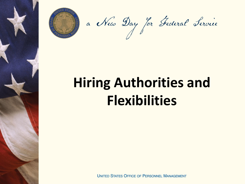

a New Day for Federal Fervie

# **Hiring Authorities and Flexibilities**

**UNITED STATES OFFICE OF PERSONNEL MANAGEMENT**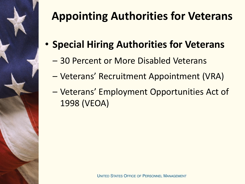

- **Special Hiring Authorities for Veterans** 
	- 30 Percent or More Disabled Veterans
	- Veterans' Recruitment Appointment (VRA)
	- Veterans' Employment Opportunities Act of 1998 (VEOA)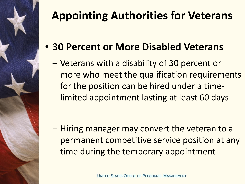

- **30 Percent or More Disabled Veterans** 
	- Veterans with a disability of 30 percent or more who meet the qualification requirements for the position can be hired under a timelimited appointment lasting at least 60 days

– Hiring manager may convert the veteran to a permanent competitive service position at any time during the temporary appointment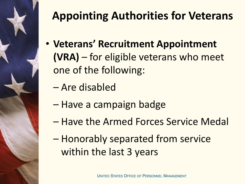

- **Veterans' Recruitment Appointment (VRA)** – for eligible veterans who meet one of the following:
	- Are disabled
	- Have a campaign badge
	- Have the Armed Forces Service Medal
	- Honorably separated from service within the last 3 years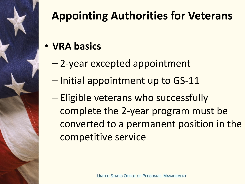

- **VRA basics**
	- 2-year excepted appointment
	- Initial appointment up to GS-11
	- Eligible veterans who successfully complete the 2-year program must be converted to a permanent position in the competitive service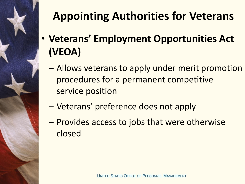

- **Veterans' Employment Opportunities Act (VEOA)** 
	- Allows veterans to apply under merit promotion procedures for a permanent competitive service position
	- Veterans' preference does not apply
	- Provides access to jobs that were otherwise closed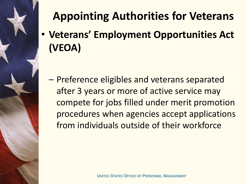• **Veterans' Employment Opportunities Act (VEOA)** 

– Preference eligibles and veterans separated after 3 years or more of active service may compete for jobs filled under merit promotion procedures when agencies accept applications from individuals outside of their workforce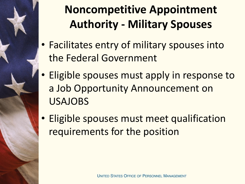

# **Noncompetitive Appointment Authority - Military Spouses**

- Facilitates entry of military spouses into the Federal Government
- Eligible spouses must apply in response to a Job Opportunity Announcement on USAJOBS
- Eligible spouses must meet qualification requirements for the position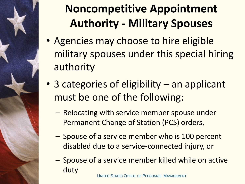

# **Noncompetitive Appointment Authority - Military Spouses**

- Agencies may choose to hire eligible military spouses under this special hiring authority
- 3 categories of eligibility an applicant must be one of the following:
	- Relocating with service member spouse under Permanent Change of Station (PCS) orders,
	- Spouse of a service member who is 100 percent disabled due to a service-connected injury, or
	- Spouse of a service member killed while on active duty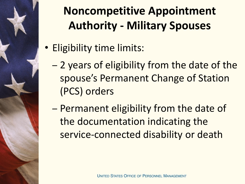

# **Noncompetitive Appointment Authority - Military Spouses**

- Eligibility time limits:
	- 2 years of eligibility from the date of the spouse's Permanent Change of Station (PCS) orders
	- Permanent eligibility from the date of the documentation indicating the service-connected disability or death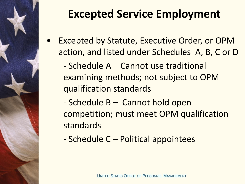

# **Excepted Service Employment**

Excepted by Statute, Executive Order, or OPM action, and listed under Schedules A, B, C or D

- Schedule A – Cannot use traditional examining methods; not subject to OPM qualification standards

- Schedule B Cannot hold open competition; must meet OPM qualification standards
- Schedule C Political appointees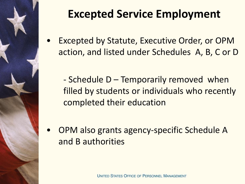

# **Excepted Service Employment**

- Excepted by Statute, Executive Order, or OPM action, and listed under Schedules A, B, C or D
	- Schedule D Temporarily removed when filled by students or individuals who recently completed their education
- OPM also grants agency-specific Schedule A and B authorities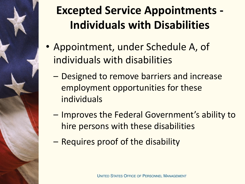

## **Excepted Service Appointments - Individuals with Disabilities**

- Appointment, under Schedule A, of individuals with disabilities
	- Designed to remove barriers and increase employment opportunities for these individuals
	- Improves the Federal Government's ability to hire persons with these disabilities
	- Requires proof of the disability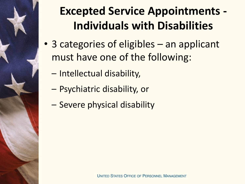

## **Excepted Service Appointments - Individuals with Disabilities**

- 3 categories of eligibles an applicant must have one of the following:
	- Intellectual disability,
	- Psychiatric disability, or
	- Severe physical disability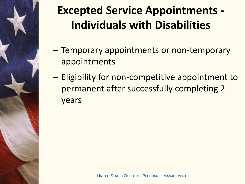

# **Excepted Service Appointments - Individuals with Disabilities**

- Temporary appointments or non-temporary appointments
- Eligibility for non-competitive appointment to permanent after successfully completing 2 years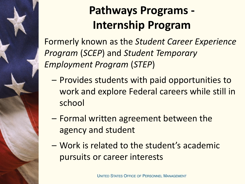

# **Pathways Programs - Internship Program**

Formerly known as the *Student Career Experience Program* (*SCEP*) and *Student Temporary Employment Program* (*STEP*)

- Provides students with paid opportunities to work and explore Federal careers while still in school
- Formal written agreement between the agency and student
- Work is related to the student's academic pursuits or career interests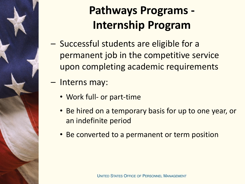

# **Pathways Programs - Internship Program**

- Successful students are eligible for a permanent job in the competitive service upon completing academic requirements
- Interns may:
	- Work full- or part-time
	- Be hired on a temporary basis for up to one year, or an indefinite period
	- Be converted to a permanent or term position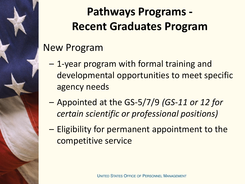## **Pathways Programs - Recent Graduates Program**

#### New Program

- 1-year program with formal training and developmental opportunities to meet specific agency needs
- Appointed at the GS-5/7/9 *(GS-11 or 12 for certain scientific or professional positions)*
- Eligibility for permanent appointment to the competitive service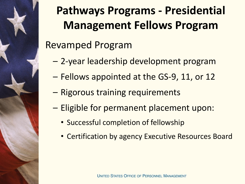

# **Pathways Programs - Presidential Management Fellows Program**

#### Revamped Program

- 2-year leadership development program
- Fellows appointed at the GS-9, 11, or 12
- Rigorous training requirements
- Eligible for permanent placement upon:
	- Successful completion of fellowship
	- Certification by agency Executive Resources Board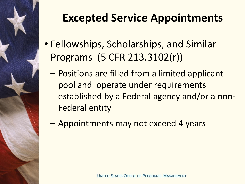

### **Excepted Service Appointments**

- Fellowships, Scholarships, and Similar Programs (5 CFR 213.3102(r))
	- Positions are filled from a limited applicant pool and operate under requirements established by a Federal agency and/or a non-Federal entity
	- Appointments may not exceed 4 years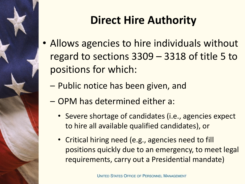

#### **Direct Hire Authority**

- Allows agencies to hire individuals without regard to sections 3309 – 3318 of title 5 to positions for which:
	- Public notice has been given, and
	- OPM has determined either a:
		- Severe shortage of candidates (i.e., agencies expect to hire all available qualified candidates), or
		- Critical hiring need (e.g., agencies need to fill positions quickly due to an emergency, to meet legal requirements, carry out a Presidential mandate)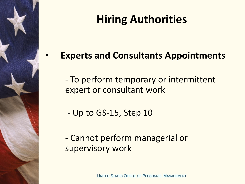#### **Hiring Authorities**

• **Experts and Consultants Appointments**

- To perform temporary or intermittent expert or consultant work

- Up to GS-15, Step 10

- Cannot perform managerial or supervisory work

UNITED STATES OFFICE OF PERSONNEL MANAGEMENT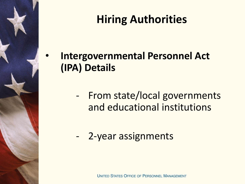#### **Hiring Authorities**

• **Intergovernmental Personnel Act (IPA) Details** 

- From state/local governments and educational institutions
- 2-year assignments